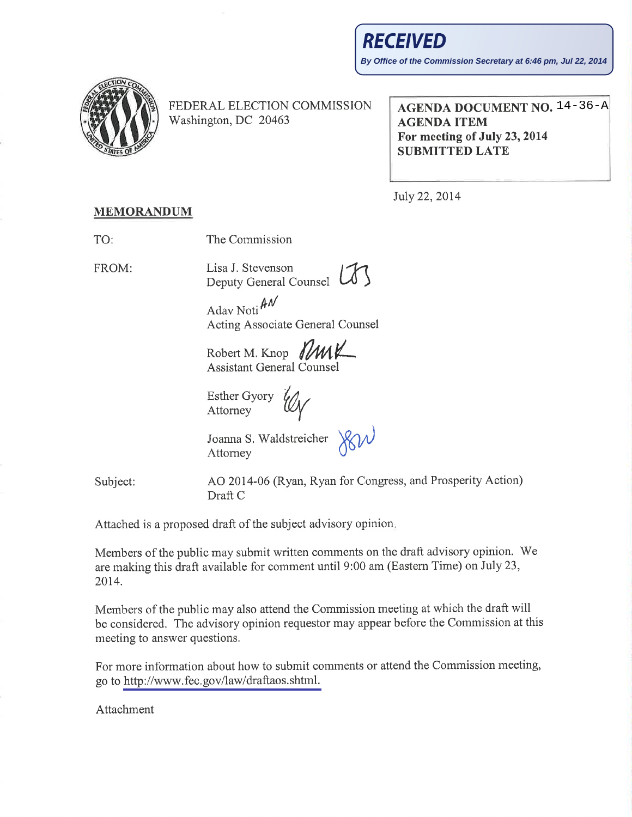By Office of the Commission Secretary at 6:46 pm, Jul 22, 2014



FEDERAL ELECTION COMMISSION Washington, DC 20463

**AGENDA DOCUMENT NO. 14-36-A AGENDA ITEM** For meeting of July 23, 2014 **SUBMITTED LATE** 

July 22, 2014

## **MEMORANDUM**

The Commission TO:

FROM:

Lisa J. Stevenson

Deputy General Counsel

Adav Noti $\mathcal{M}$ Acting Associate General Counsel

Robert M. Knop J/MX **Assistant General Counsel** 

**Esther Gyory** Attorney

Joanna S. Waldstreicher Attorney

Subject:

AO 2014-06 (Ryan, Ryan for Congress, and Prosperity Action) Draft C

Attached is a proposed draft of the subject advisory opinion.

Members of the public may submit written comments on the draft advisory opinion. We are making this draft available for comment until 9:00 am (Eastern Time) on July 23, 2014.

Members of the public may also attend the Commission meeting at which the draft will be considered. The advisory opinion requestor may appear before the Commission at this meeting to answer questions.

For more information about how to submit comments or attend the Commission meeting, go to http://www.fec.gov/law/draftaos.shtml.

Attachment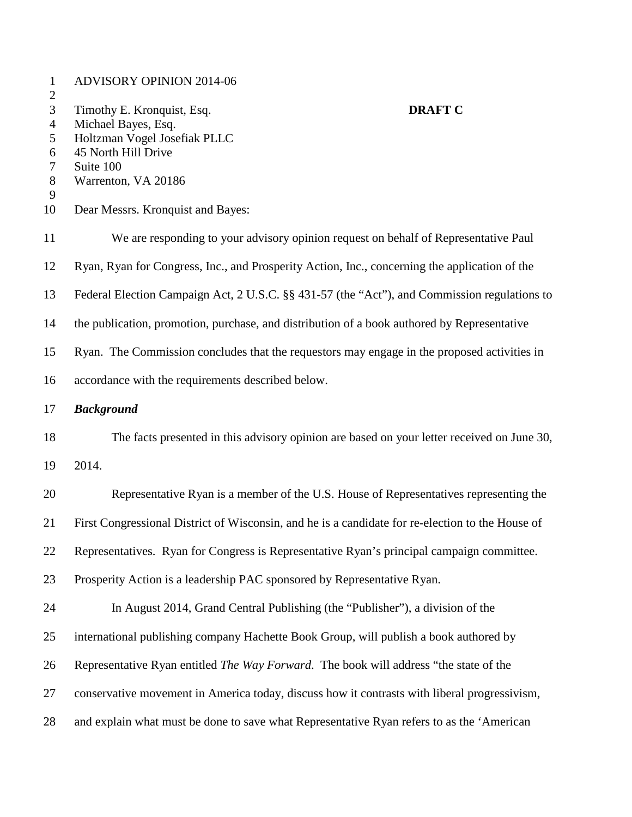| $\mathbf{1}$          | <b>ADVISORY OPINION 2014-06</b>                                                                  |
|-----------------------|--------------------------------------------------------------------------------------------------|
| $\boldsymbol{2}$<br>3 | <b>DRAFT C</b><br>Timothy E. Kronquist, Esq.                                                     |
| $\overline{4}$        | Michael Bayes, Esq.                                                                              |
| 5                     | Holtzman Vogel Josefiak PLLC                                                                     |
| 6                     | 45 North Hill Drive                                                                              |
| 7<br>$8\,$            | Suite 100<br>Warrenton, VA 20186                                                                 |
| 9                     |                                                                                                  |
| 10                    | Dear Messrs. Kronquist and Bayes:                                                                |
| 11                    | We are responding to your advisory opinion request on behalf of Representative Paul              |
| 12                    | Ryan, Ryan for Congress, Inc., and Prosperity Action, Inc., concerning the application of the    |
| 13                    | Federal Election Campaign Act, 2 U.S.C. §§ 431-57 (the "Act"), and Commission regulations to     |
| 14                    | the publication, promotion, purchase, and distribution of a book authored by Representative      |
| 15                    | Ryan. The Commission concludes that the requestors may engage in the proposed activities in      |
| 16                    | accordance with the requirements described below.                                                |
| 17                    | <b>Background</b>                                                                                |
| 18                    | The facts presented in this advisory opinion are based on your letter received on June 30,       |
| 19                    | 2014.                                                                                            |
| 20                    | Representative Ryan is a member of the U.S. House of Representatives representing the            |
| 21                    | First Congressional District of Wisconsin, and he is a candidate for re-election to the House of |
| 22                    | Representatives. Ryan for Congress is Representative Ryan's principal campaign committee.        |
| 23                    | Prosperity Action is a leadership PAC sponsored by Representative Ryan.                          |
| 24                    | In August 2014, Grand Central Publishing (the "Publisher"), a division of the                    |
| 25                    | international publishing company Hachette Book Group, will publish a book authored by            |
| 26                    | Representative Ryan entitled <i>The Way Forward</i> . The book will address "the state of the    |
| 27                    | conservative movement in America today, discuss how it contrasts with liberal progressivism,     |
| 28                    | and explain what must be done to save what Representative Ryan refers to as the 'American        |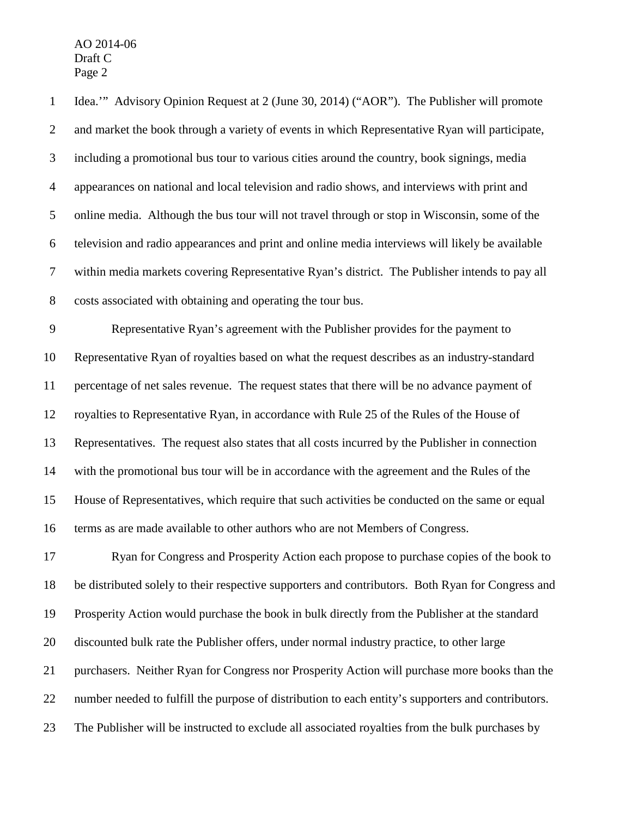Idea.'" Advisory Opinion Request at 2 (June 30, 2014) ("AOR"). The Publisher will promote and market the book through a variety of events in which Representative Ryan will participate, including a promotional bus tour to various cities around the country, book signings, media appearances on national and local television and radio shows, and interviews with print and online media. Although the bus tour will not travel through or stop in Wisconsin, some of the television and radio appearances and print and online media interviews will likely be available within media markets covering Representative Ryan's district. The Publisher intends to pay all costs associated with obtaining and operating the tour bus.

 Representative Ryan's agreement with the Publisher provides for the payment to Representative Ryan of royalties based on what the request describes as an industry-standard percentage of net sales revenue. The request states that there will be no advance payment of royalties to Representative Ryan, in accordance with Rule 25 of the Rules of the House of Representatives. The request also states that all costs incurred by the Publisher in connection with the promotional bus tour will be in accordance with the agreement and the Rules of the House of Representatives, which require that such activities be conducted on the same or equal terms as are made available to other authors who are not Members of Congress.

 Ryan for Congress and Prosperity Action each propose to purchase copies of the book to be distributed solely to their respective supporters and contributors. Both Ryan for Congress and Prosperity Action would purchase the book in bulk directly from the Publisher at the standard discounted bulk rate the Publisher offers, under normal industry practice, to other large purchasers. Neither Ryan for Congress nor Prosperity Action will purchase more books than the number needed to fulfill the purpose of distribution to each entity's supporters and contributors. The Publisher will be instructed to exclude all associated royalties from the bulk purchases by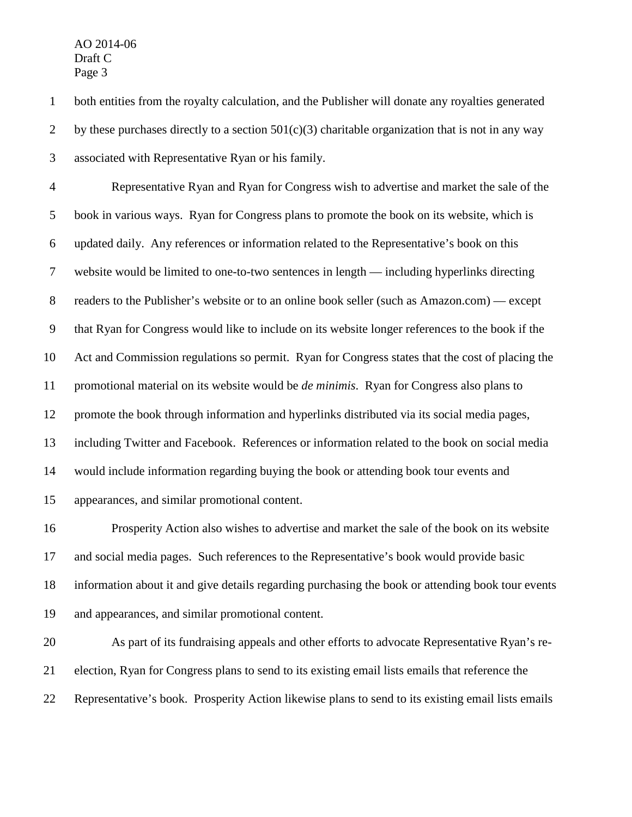both entities from the royalty calculation, and the Publisher will donate any royalties generated 2 by these purchases directly to a section  $501(c)(3)$  charitable organization that is not in any way associated with Representative Ryan or his family.

 Representative Ryan and Ryan for Congress wish to advertise and market the sale of the book in various ways. Ryan for Congress plans to promote the book on its website, which is updated daily. Any references or information related to the Representative's book on this website would be limited to one-to-two sentences in length — including hyperlinks directing readers to the Publisher's website or to an online book seller (such as Amazon.com) — except that Ryan for Congress would like to include on its website longer references to the book if the Act and Commission regulations so permit. Ryan for Congress states that the cost of placing the promotional material on its website would be *de minimis*. Ryan for Congress also plans to promote the book through information and hyperlinks distributed via its social media pages, including Twitter and Facebook. References or information related to the book on social media would include information regarding buying the book or attending book tour events and appearances, and similar promotional content.

 Prosperity Action also wishes to advertise and market the sale of the book on its website and social media pages. Such references to the Representative's book would provide basic information about it and give details regarding purchasing the book or attending book tour events and appearances, and similar promotional content.

 As part of its fundraising appeals and other efforts to advocate Representative Ryan's re- election, Ryan for Congress plans to send to its existing email lists emails that reference the Representative's book. Prosperity Action likewise plans to send to its existing email lists emails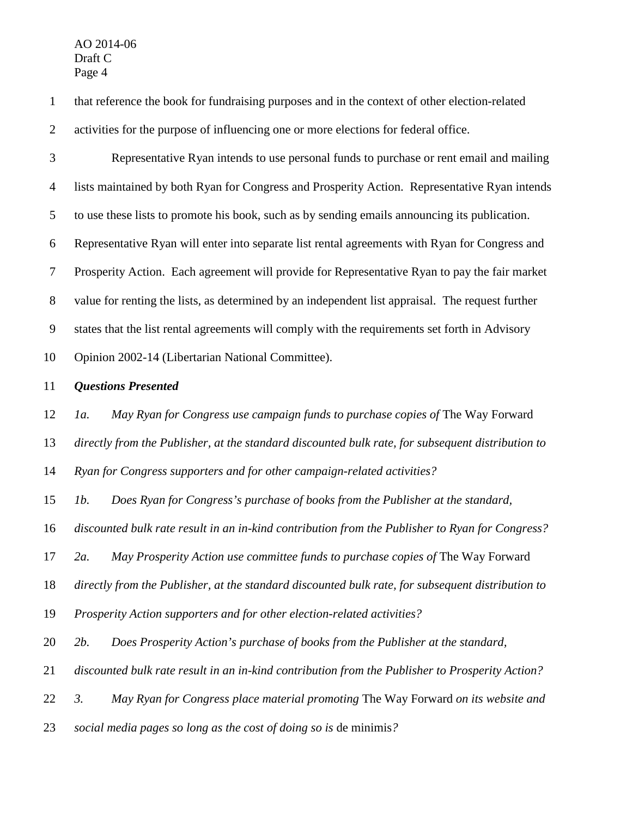that reference the book for fundraising purposes and in the context of other election-related activities for the purpose of influencing one or more elections for federal office.

 Representative Ryan intends to use personal funds to purchase or rent email and mailing lists maintained by both Ryan for Congress and Prosperity Action. Representative Ryan intends to use these lists to promote his book, such as by sending emails announcing its publication. Representative Ryan will enter into separate list rental agreements with Ryan for Congress and Prosperity Action. Each agreement will provide for Representative Ryan to pay the fair market value for renting the lists, as determined by an independent list appraisal. The request further states that the list rental agreements will comply with the requirements set forth in Advisory Opinion 2002-14 (Libertarian National Committee).

*Questions Presented*

*1a. May Ryan for Congress use campaign funds to purchase copies of* The Way Forward

*directly from the Publisher, at the standard discounted bulk rate, for subsequent distribution to* 

*Ryan for Congress supporters and for other campaign-related activities?* 

*1b. Does Ryan for Congress's purchase of books from the Publisher at the standard,* 

*discounted bulk rate result in an in-kind contribution from the Publisher to Ryan for Congress?*

*2a. May Prosperity Action use committee funds to purchase copies of* The Way Forward

*directly from the Publisher, at the standard discounted bulk rate, for subsequent distribution to* 

*Prosperity Action supporters and for other election-related activities?* 

*2b. Does Prosperity Action's purchase of books from the Publisher at the standard,* 

*discounted bulk rate result in an in-kind contribution from the Publisher to Prosperity Action?*

*3. May Ryan for Congress place material promoting* The Way Forward *on its website and* 

*social media pages so long as the cost of doing so is* de minimis*?*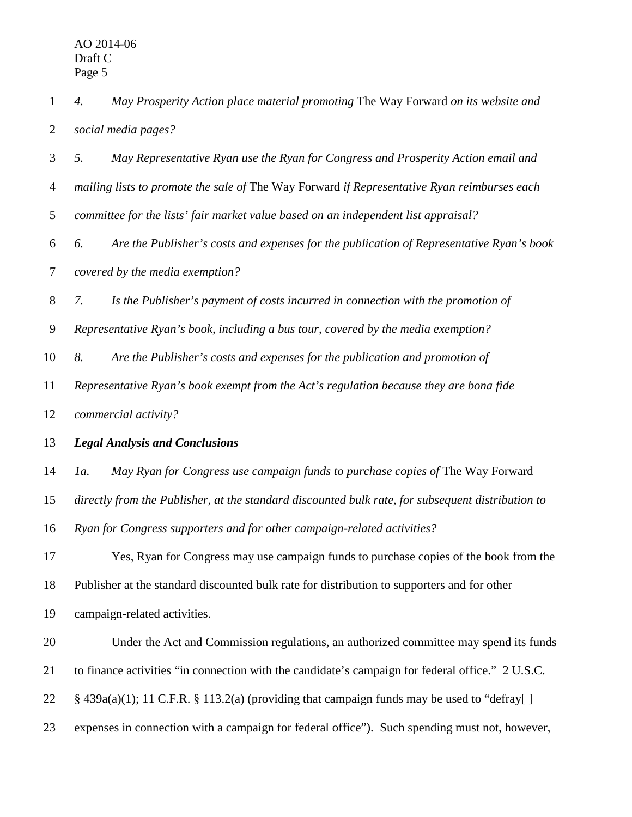*4. May Prosperity Action place material promoting* The Way Forward *on its website and social media pages? 5. May Representative Ryan use the Ryan for Congress and Prosperity Action email and mailing lists to promote the sale of* The Way Forward *if Representative Ryan reimburses each committee for the lists' fair market value based on an independent list appraisal? 6. Are the Publisher's costs and expenses for the publication of Representative Ryan's book covered by the media exemption? 7. Is the Publisher's payment of costs incurred in connection with the promotion of Representative Ryan's book, including a bus tour, covered by the media exemption? 8. Are the Publisher's costs and expenses for the publication and promotion of Representative Ryan's book exempt from the Act's regulation because they are bona fide commercial activity? Legal Analysis and Conclusions 1a. May Ryan for Congress use campaign funds to purchase copies of* The Way Forward *directly from the Publisher, at the standard discounted bulk rate, for subsequent distribution to Ryan for Congress supporters and for other campaign-related activities?*  Yes, Ryan for Congress may use campaign funds to purchase copies of the book from the Publisher at the standard discounted bulk rate for distribution to supporters and for other

campaign-related activities.

 Under the Act and Commission regulations, an authorized committee may spend its funds to finance activities "in connection with the candidate's campaign for federal office." 2 U.S.C. 22 § 439a(a)(1); 11 C.F.R. § 113.2(a) (providing that campaign funds may be used to "defray[]

expenses in connection with a campaign for federal office"). Such spending must not, however,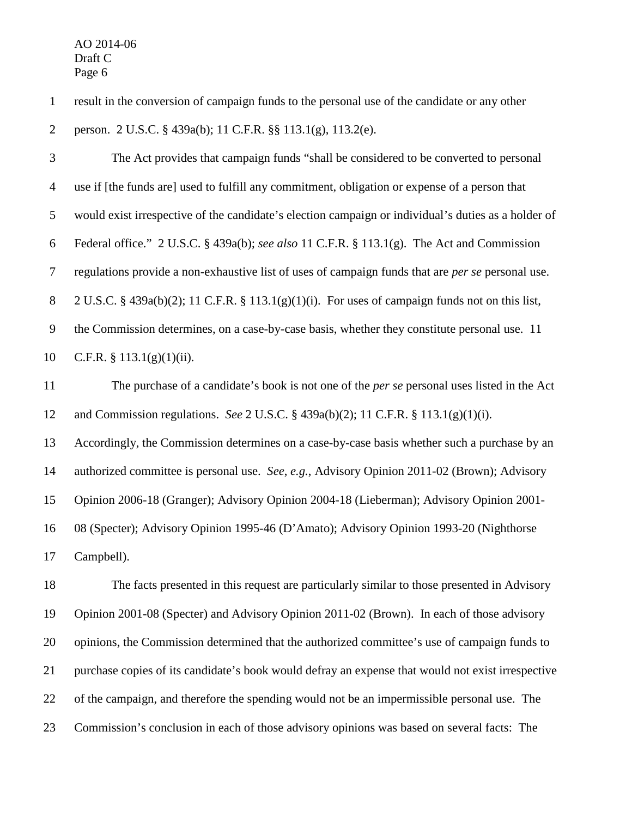result in the conversion of campaign funds to the personal use of the candidate or any other person. 2 U.S.C. § 439a(b); 11 C.F.R. §§ 113.1(g), 113.2(e).

 The Act provides that campaign funds "shall be considered to be converted to personal use if [the funds are] used to fulfill any commitment, obligation or expense of a person that would exist irrespective of the candidate's election campaign or individual's duties as a holder of Federal office." 2 U.S.C. § 439a(b); *see also* 11 C.F.R. § 113.1(g). The Act and Commission regulations provide a non-exhaustive list of uses of campaign funds that are *per se* personal use. 2 U.S.C. § 439a(b)(2); 11 C.F.R. § 113.1(g)(1)(i). For uses of campaign funds not on this list, the Commission determines, on a case-by-case basis, whether they constitute personal use. 11 C.F.R. § 113.1(g)(1)(ii).

 The purchase of a candidate's book is not one of the *per se* personal uses listed in the Act and Commission regulations. *See* 2 U.S.C. § 439a(b)(2); 11 C.F.R. § 113.1(g)(1)(i).

Accordingly, the Commission determines on a case-by-case basis whether such a purchase by an

authorized committee is personal use. *See*, *e.g.*, Advisory Opinion 2011-02 (Brown); Advisory

Opinion 2006-18 (Granger); Advisory Opinion 2004-18 (Lieberman); Advisory Opinion 2001-

08 (Specter); Advisory Opinion 1995-46 (D'Amato); Advisory Opinion 1993-20 (Nighthorse

Campbell).

 The facts presented in this request are particularly similar to those presented in Advisory Opinion 2001-08 (Specter) and Advisory Opinion 2011-02 (Brown). In each of those advisory opinions, the Commission determined that the authorized committee's use of campaign funds to purchase copies of its candidate's book would defray an expense that would not exist irrespective of the campaign, and therefore the spending would not be an impermissible personal use. The Commission's conclusion in each of those advisory opinions was based on several facts: The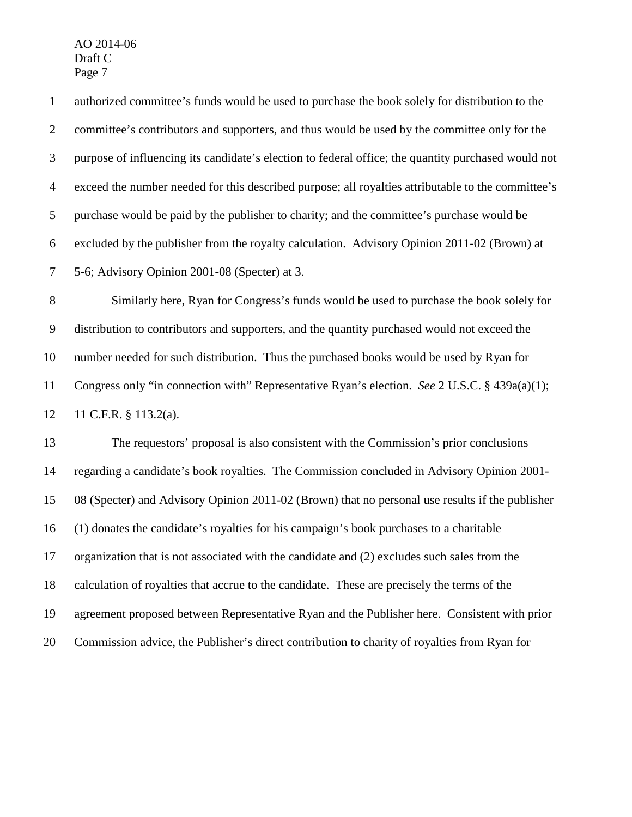11 C.F.R. § 113.2(a).

 authorized committee's funds would be used to purchase the book solely for distribution to the committee's contributors and supporters, and thus would be used by the committee only for the purpose of influencing its candidate's election to federal office; the quantity purchased would not exceed the number needed for this described purpose; all royalties attributable to the committee's purchase would be paid by the publisher to charity; and the committee's purchase would be excluded by the publisher from the royalty calculation. Advisory Opinion 2011-02 (Brown) at 5-6; Advisory Opinion 2001-08 (Specter) at 3. Similarly here, Ryan for Congress's funds would be used to purchase the book solely for distribution to contributors and supporters, and the quantity purchased would not exceed the number needed for such distribution. Thus the purchased books would be used by Ryan for

Congress only "in connection with" Representative Ryan's election. *See* 2 U.S.C. § 439a(a)(1);

 The requestors' proposal is also consistent with the Commission's prior conclusions regarding a candidate's book royalties. The Commission concluded in Advisory Opinion 2001- 08 (Specter) and Advisory Opinion 2011-02 (Brown) that no personal use results if the publisher (1) donates the candidate's royalties for his campaign's book purchases to a charitable organization that is not associated with the candidate and (2) excludes such sales from the calculation of royalties that accrue to the candidate. These are precisely the terms of the agreement proposed between Representative Ryan and the Publisher here. Consistent with prior Commission advice, the Publisher's direct contribution to charity of royalties from Ryan for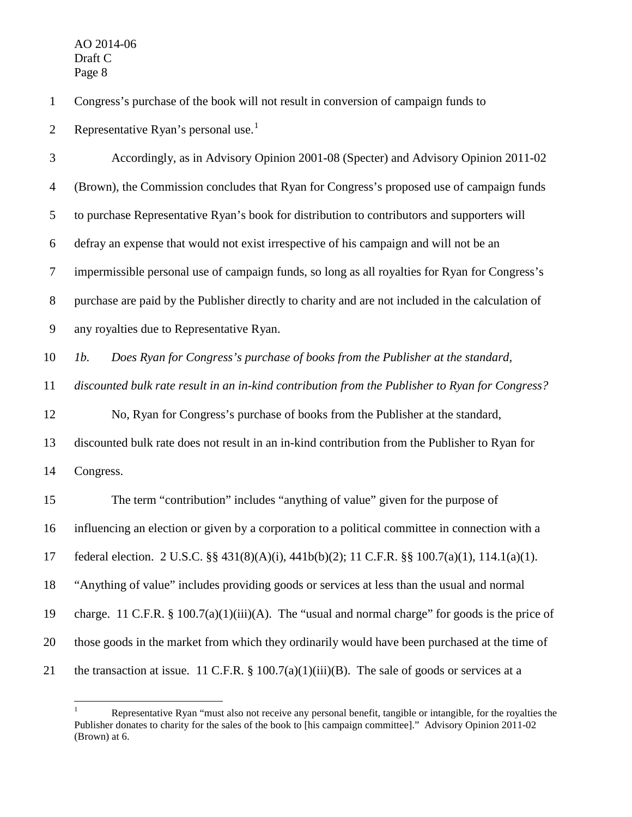Congress's purchase of the book will not result in conversion of campaign funds to

2 Representative Ryan's personal use.<sup>[1](#page-8-0)</sup>

 Accordingly, as in Advisory Opinion 2001-08 (Specter) and Advisory Opinion 2011-02 (Brown), the Commission concludes that Ryan for Congress's proposed use of campaign funds to purchase Representative Ryan's book for distribution to contributors and supporters will defray an expense that would not exist irrespective of his campaign and will not be an impermissible personal use of campaign funds, so long as all royalties for Ryan for Congress's purchase are paid by the Publisher directly to charity and are not included in the calculation of any royalties due to Representative Ryan. *1b. Does Ryan for Congress's purchase of books from the Publisher at the standard, discounted bulk rate result in an in-kind contribution from the Publisher to Ryan for Congress?* No, Ryan for Congress's purchase of books from the Publisher at the standard, discounted bulk rate does not result in an in-kind contribution from the Publisher to Ryan for Congress. The term "contribution" includes "anything of value" given for the purpose of influencing an election or given by a corporation to a political committee in connection with a federal election. 2 U.S.C. §§ 431(8)(A)(i), 441b(b)(2); 11 C.F.R. §§ 100.7(a)(1), 114.1(a)(1). "Anything of value" includes providing goods or services at less than the usual and normal charge. 11 C.F.R. § 100.7(a)(1)(iii)(A). The "usual and normal charge" for goods is the price of those goods in the market from which they ordinarily would have been purchased at the time of 21 the transaction at issue. 11 C.F.R.  $\S$  100.7(a)(1)(iii)(B). The sale of goods or services at a

<span id="page-8-0"></span>Representative Ryan "must also not receive any personal benefit, tangible or intangible, for the royalties the Publisher donates to charity for the sales of the book to [his campaign committee]." Advisory Opinion 2011-02 (Brown) at 6.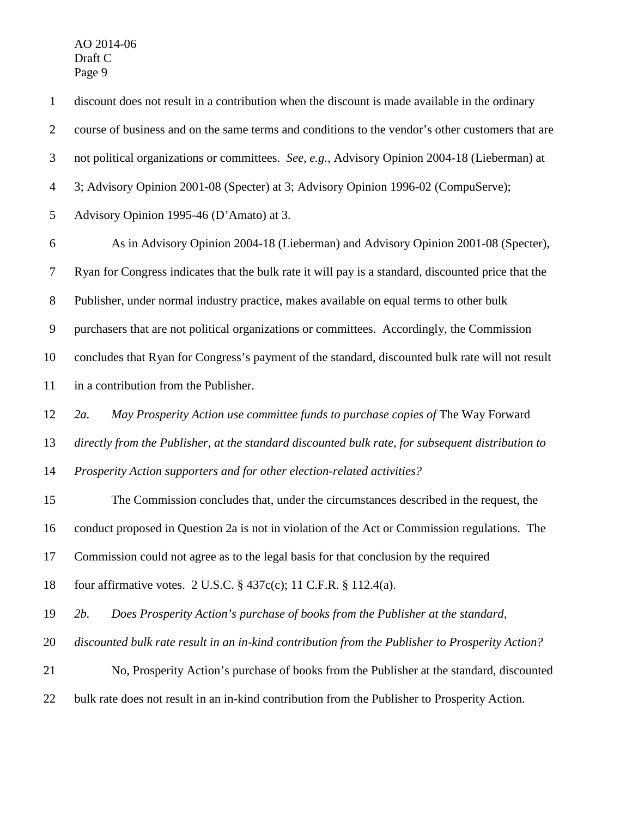| $\mathbf{1}$   | discount does not result in a contribution when the discount is made available in the ordinary      |
|----------------|-----------------------------------------------------------------------------------------------------|
| $\overline{2}$ | course of business and on the same terms and conditions to the vendor's other customers that are    |
| 3              | not political organizations or committees. See, e.g., Advisory Opinion 2004-18 (Lieberman) at       |
| $\overline{4}$ | 3; Advisory Opinion 2001-08 (Specter) at 3; Advisory Opinion 1996-02 (CompuServe);                  |
| 5              | Advisory Opinion 1995-46 (D'Amato) at 3.                                                            |
| 6              | As in Advisory Opinion 2004-18 (Lieberman) and Advisory Opinion 2001-08 (Specter),                  |
| 7              | Ryan for Congress indicates that the bulk rate it will pay is a standard, discounted price that the |
| $8\phantom{1}$ | Publisher, under normal industry practice, makes available on equal terms to other bulk             |
| 9              | purchasers that are not political organizations or committees. Accordingly, the Commission          |
| 10             | concludes that Ryan for Congress's payment of the standard, discounted bulk rate will not result    |
| 11             | in a contribution from the Publisher.                                                               |
| 12             | May Prosperity Action use committee funds to purchase copies of The Way Forward<br>$2a$ .           |
| 13             | directly from the Publisher, at the standard discounted bulk rate, for subsequent distribution to   |
| 14             | Prosperity Action supporters and for other election-related activities?                             |
| 15             | The Commission concludes that, under the circumstances described in the request, the                |
| 16             | conduct proposed in Question 2a is not in violation of the Act or Commission regulations. The       |
| 17             | Commission could not agree as to the legal basis for that conclusion by the required                |
| 18             | four affirmative votes. 2 U.S.C. $\S$ 437c(c); 11 C.F.R. $\S$ 112.4(a).                             |
| 19             | 2 <i>b</i> .<br>Does Prosperity Action's purchase of books from the Publisher at the standard,      |
| 20             | discounted bulk rate result in an in-kind contribution from the Publisher to Prosperity Action?     |
| 21             | No, Prosperity Action's purchase of books from the Publisher at the standard, discounted            |
| 22             | bulk rate does not result in an in-kind contribution from the Publisher to Prosperity Action.       |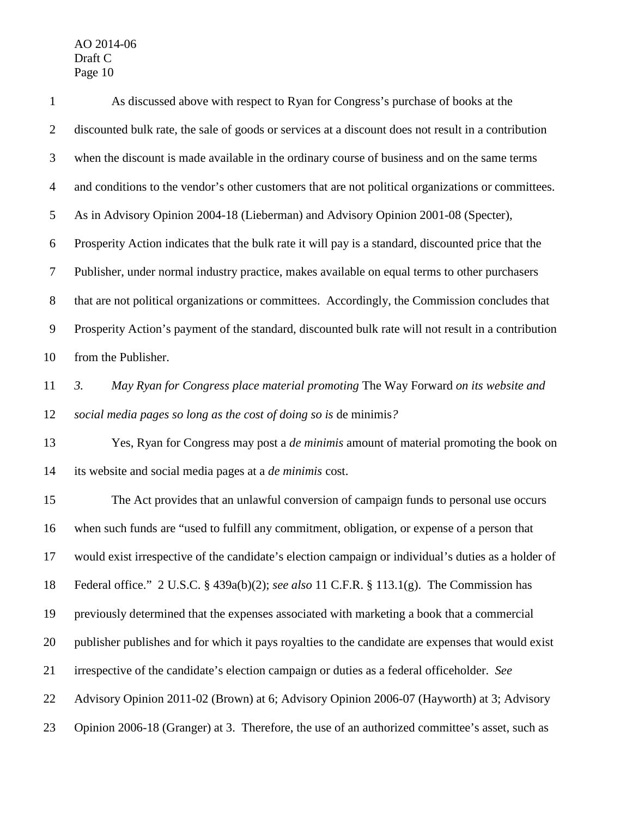| $\mathbf{1}$     | As discussed above with respect to Ryan for Congress's purchase of books at the                       |
|------------------|-------------------------------------------------------------------------------------------------------|
| $\overline{2}$   | discounted bulk rate, the sale of goods or services at a discount does not result in a contribution   |
| 3                | when the discount is made available in the ordinary course of business and on the same terms          |
| $\overline{4}$   | and conditions to the vendor's other customers that are not political organizations or committees.    |
| 5                | As in Advisory Opinion 2004-18 (Lieberman) and Advisory Opinion 2001-08 (Specter),                    |
| 6                | Prosperity Action indicates that the bulk rate it will pay is a standard, discounted price that the   |
| 7                | Publisher, under normal industry practice, makes available on equal terms to other purchasers         |
| $8\,$            | that are not political organizations or committees. Accordingly, the Commission concludes that        |
| $\boldsymbol{9}$ | Prosperity Action's payment of the standard, discounted bulk rate will not result in a contribution   |
| 10               | from the Publisher.                                                                                   |
| 11               | May Ryan for Congress place material promoting The Way Forward on its website and<br>$\mathfrak{Z}$ . |
| 12               | social media pages so long as the cost of doing so is de minimis?                                     |
| 13               | Yes, Ryan for Congress may post a <i>de minimis</i> amount of material promoting the book on          |
| 14               | its website and social media pages at a <i>de minimis</i> cost.                                       |
| 15               | The Act provides that an unlawful conversion of campaign funds to personal use occurs                 |
| 16               | when such funds are "used to fulfill any commitment, obligation, or expense of a person that          |
| 17               | would exist irrespective of the candidate's election campaign or individual's duties as a holder of   |
| 18               | Federal office." 2 U.S.C. § 439a(b)(2); see also 11 C.F.R. § 113.1(g). The Commission has             |
| 19               | previously determined that the expenses associated with marketing a book that a commercial            |
| 20               | publisher publishes and for which it pays royalties to the candidate are expenses that would exist    |
| 21               | irrespective of the candidate's election campaign or duties as a federal officeholder. See            |
| 22               | Advisory Opinion 2011-02 (Brown) at 6; Advisory Opinion 2006-07 (Hayworth) at 3; Advisory             |
| 23               | Opinion 2006-18 (Granger) at 3. Therefore, the use of an authorized committee's asset, such as        |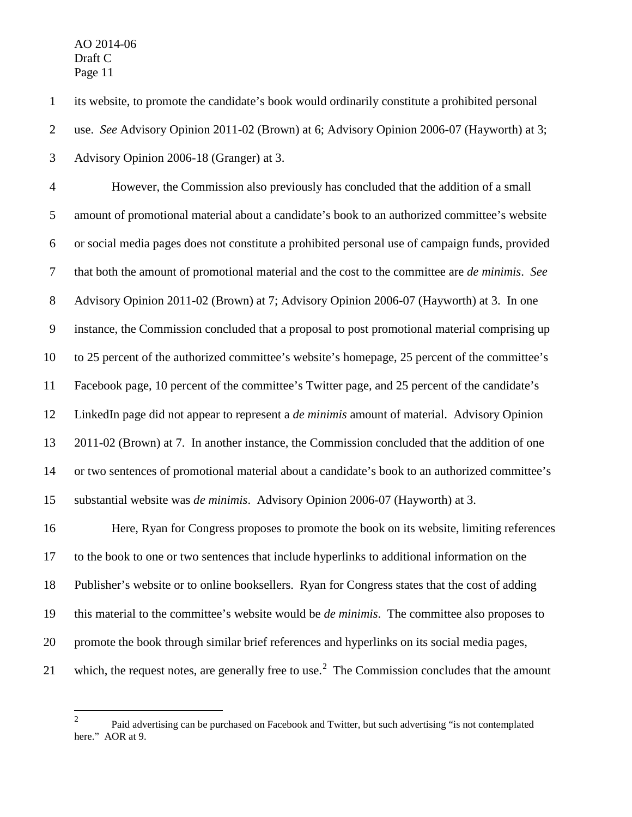its website, to promote the candidate's book would ordinarily constitute a prohibited personal

use. *See* Advisory Opinion 2011-02 (Brown) at 6; Advisory Opinion 2006-07 (Hayworth) at 3;

Advisory Opinion 2006-18 (Granger) at 3.

 However, the Commission also previously has concluded that the addition of a small amount of promotional material about a candidate's book to an authorized committee's website or social media pages does not constitute a prohibited personal use of campaign funds, provided that both the amount of promotional material and the cost to the committee are *de minimis*. *See* Advisory Opinion 2011-02 (Brown) at 7; Advisory Opinion 2006-07 (Hayworth) at 3. In one instance, the Commission concluded that a proposal to post promotional material comprising up to 25 percent of the authorized committee's website's homepage, 25 percent of the committee's Facebook page, 10 percent of the committee's Twitter page, and 25 percent of the candidate's LinkedIn page did not appear to represent a *de minimis* amount of material. Advisory Opinion 2011-02 (Brown) at 7. In another instance, the Commission concluded that the addition of one or two sentences of promotional material about a candidate's book to an authorized committee's substantial website was *de minimis*. Advisory Opinion 2006-07 (Hayworth) at 3.

 Here, Ryan for Congress proposes to promote the book on its website, limiting references to the book to one or two sentences that include hyperlinks to additional information on the Publisher's website or to online booksellers. Ryan for Congress states that the cost of adding this material to the committee's website would be *de minimis*. The committee also proposes to promote the book through similar brief references and hyperlinks on its social media pages, 1 which, the request notes, are generally free to use.<sup>2</sup> The Commission concludes that the amount

<span id="page-11-0"></span><sup>&</sup>lt;sup>2</sup> Paid advertising can be purchased on Facebook and Twitter, but such advertising "is not contemplated here." AOR at 9.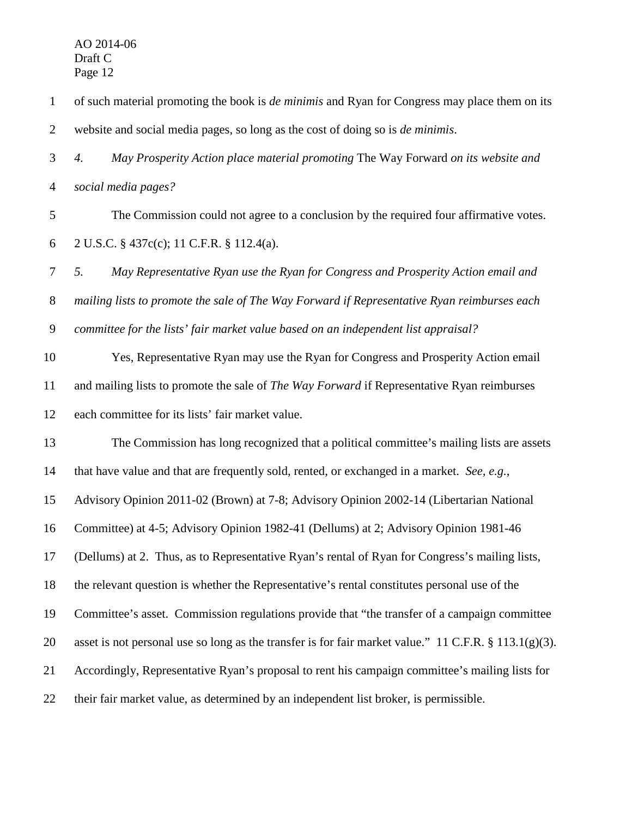| $\mathbf{1}$   | of such material promoting the book is <i>de minimis</i> and Ryan for Congress may place them on its      |
|----------------|-----------------------------------------------------------------------------------------------------------|
| $\overline{2}$ | website and social media pages, so long as the cost of doing so is de minimis.                            |
| 3              | May Prosperity Action place material promoting The Way Forward on its website and<br>4.                   |
| $\overline{4}$ | social media pages?                                                                                       |
| 5              | The Commission could not agree to a conclusion by the required four affirmative votes.                    |
| 6              | 2 U.S.C. § 437c(c); 11 C.F.R. § 112.4(a).                                                                 |
| $\tau$         | 5.<br>May Representative Ryan use the Ryan for Congress and Prosperity Action email and                   |
| $8\,$          | mailing lists to promote the sale of The Way Forward if Representative Ryan reimburses each               |
| $\overline{9}$ | committee for the lists' fair market value based on an independent list appraisal?                        |
| 10             | Yes, Representative Ryan may use the Ryan for Congress and Prosperity Action email                        |
| 11             | and mailing lists to promote the sale of The Way Forward if Representative Ryan reimburses                |
| 12             | each committee for its lists' fair market value.                                                          |
| 13             | The Commission has long recognized that a political committee's mailing lists are assets                  |
| 14             | that have value and that are frequently sold, rented, or exchanged in a market. See, e.g.,                |
| 15             | Advisory Opinion 2011-02 (Brown) at 7-8; Advisory Opinion 2002-14 (Libertarian National                   |
| 16             | Committee) at 4-5; Advisory Opinion 1982-41 (Dellums) at 2; Advisory Opinion 1981-46                      |
| 17             | (Dellums) at 2. Thus, as to Representative Ryan's rental of Ryan for Congress's mailing lists,            |
| 18             | the relevant question is whether the Representative's rental constitutes personal use of the              |
| 19             | Committee's asset. Commission regulations provide that "the transfer of a campaign committee"             |
| 20             | asset is not personal use so long as the transfer is for fair market value." 11 C.F.R. $\S 113.1(g)(3)$ . |
| 21             | Accordingly, Representative Ryan's proposal to rent his campaign committee's mailing lists for            |
| 22             | their fair market value, as determined by an independent list broker, is permissible.                     |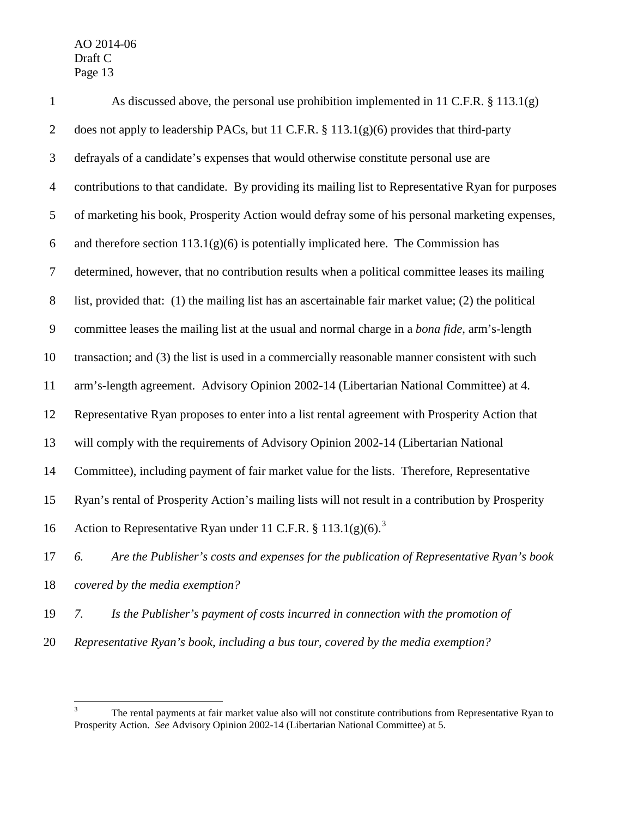| $\mathbf{1}$     | As discussed above, the personal use prohibition implemented in 11 C.F.R. $\S$ 113.1(g)             |
|------------------|-----------------------------------------------------------------------------------------------------|
| $\overline{2}$   | does not apply to leadership PACs, but 11 C.F.R. $\S$ 113.1(g)(6) provides that third-party         |
| 3                | defrayals of a candidate's expenses that would otherwise constitute personal use are                |
| $\overline{4}$   | contributions to that candidate. By providing its mailing list to Representative Ryan for purposes  |
| 5                | of marketing his book, Prosperity Action would defray some of his personal marketing expenses,      |
| 6                | and therefore section $113.1(g)(6)$ is potentially implicated here. The Commission has              |
| $\tau$           | determined, however, that no contribution results when a political committee leases its mailing     |
| $8\,$            | list, provided that: (1) the mailing list has an ascertainable fair market value; (2) the political |
| $\boldsymbol{9}$ | committee leases the mailing list at the usual and normal charge in a bona fide, arm's-length       |
| 10               | transaction; and (3) the list is used in a commercially reasonable manner consistent with such      |
| 11               | arm's-length agreement. Advisory Opinion 2002-14 (Libertarian National Committee) at 4.             |
| 12               | Representative Ryan proposes to enter into a list rental agreement with Prosperity Action that      |
| 13               | will comply with the requirements of Advisory Opinion 2002-14 (Libertarian National                 |
| 14               | Committee), including payment of fair market value for the lists. Therefore, Representative         |
| 15               | Ryan's rental of Prosperity Action's mailing lists will not result in a contribution by Prosperity  |
| 16               | Action to Representative Ryan under 11 C.F.R. § 113.1(g)(6). <sup>3</sup>                           |
| 17               | Are the Publisher's costs and expenses for the publication of Representative Ryan's book<br>6.      |
| 18               | covered by the media exemption?                                                                     |
|                  |                                                                                                     |

- *7. Is the Publisher's payment of costs incurred in connection with the promotion of*
- *Representative Ryan's book, including a bus tour, covered by the media exemption?*

<span id="page-13-0"></span><sup>&</sup>lt;sup>3</sup> The rental payments at fair market value also will not constitute contributions from Representative Ryan to Prosperity Action. *See* Advisory Opinion 2002-14 (Libertarian National Committee) at 5.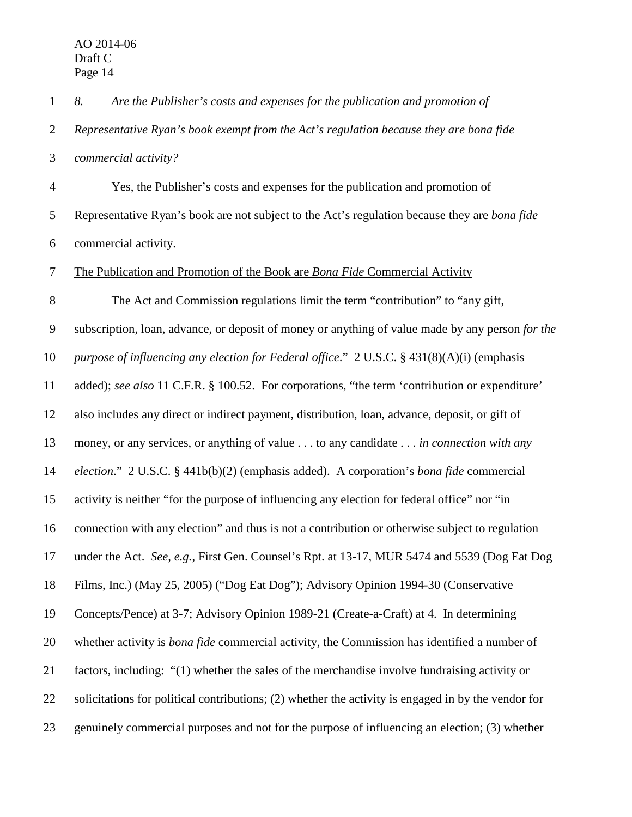*8. Are the Publisher's costs and expenses for the publication and promotion of* 

 *Representative Ryan's book exempt from the Act's regulation because they are bona fide commercial activity?*

 Yes, the Publisher's costs and expenses for the publication and promotion of Representative Ryan's book are not subject to the Act's regulation because they are *bona fide* commercial activity.

The Publication and Promotion of the Book are *Bona Fide* Commercial Activity

 The Act and Commission regulations limit the term "contribution" to "any gift, subscription, loan, advance, or deposit of money or anything of value made by any person *for the purpose of influencing any election for Federal office*." 2 U.S.C. § 431(8)(A)(i) (emphasis added); *see also* 11 C.F.R. § 100.52. For corporations, "the term 'contribution or expenditure' also includes any direct or indirect payment, distribution, loan, advance, deposit, or gift of money, or any services, or anything of value . . . to any candidate . . . *in connection with any election*." 2 U.S.C. § 441b(b)(2) (emphasis added). A corporation's *bona fide* commercial activity is neither "for the purpose of influencing any election for federal office" nor "in connection with any election" and thus is not a contribution or otherwise subject to regulation under the Act. *See, e.g.*, First Gen. Counsel's Rpt. at 13-17, MUR 5474 and 5539 (Dog Eat Dog Films, Inc.) (May 25, 2005) ("Dog Eat Dog"); Advisory Opinion 1994-30 (Conservative Concepts/Pence) at 3-7; Advisory Opinion 1989-21 (Create-a-Craft) at 4. In determining whether activity is *bona fide* commercial activity, the Commission has identified a number of factors, including: "(1) whether the sales of the merchandise involve fundraising activity or solicitations for political contributions; (2) whether the activity is engaged in by the vendor for genuinely commercial purposes and not for the purpose of influencing an election; (3) whether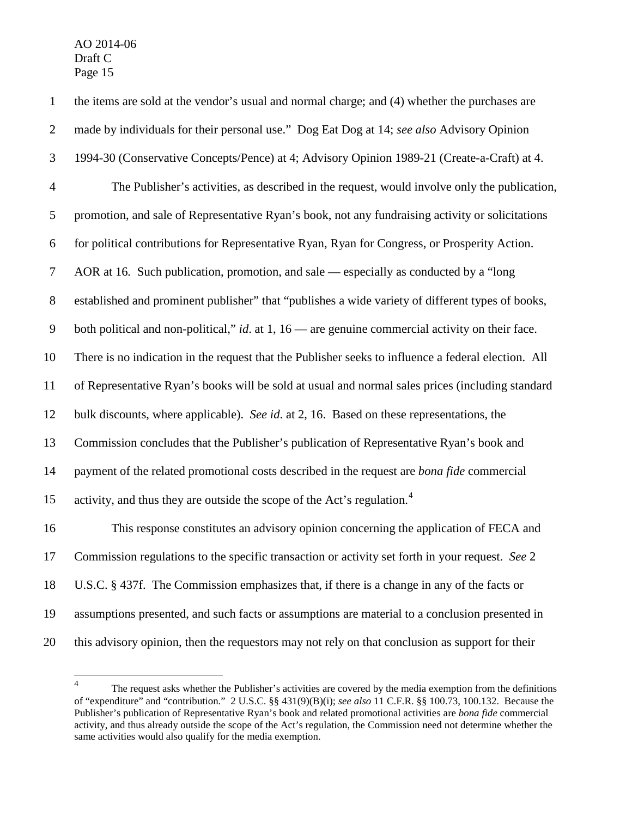the items are sold at the vendor's usual and normal charge; and (4) whether the purchases are made by individuals for their personal use." Dog Eat Dog at 14; *see also* Advisory Opinion 1994-30 (Conservative Concepts/Pence) at 4; Advisory Opinion 1989-21 (Create-a-Craft) at 4. The Publisher's activities, as described in the request, would involve only the publication, promotion, and sale of Representative Ryan's book, not any fundraising activity or solicitations for political contributions for Representative Ryan, Ryan for Congress, or Prosperity Action. AOR at 16*.* Such publication, promotion, and sale — especially as conducted by a "long established and prominent publisher" that "publishes a wide variety of different types of books, both political and non-political," *id*. at 1, 16 — are genuine commercial activity on their face. There is no indication in the request that the Publisher seeks to influence a federal election. All of Representative Ryan's books will be sold at usual and normal sales prices (including standard bulk discounts, where applicable). *See id*. at 2, 16. Based on these representations, the Commission concludes that the Publisher's publication of Representative Ryan's book and payment of the related promotional costs described in the request are *bona fide* commercial 15 activity, and thus they are outside the scope of the Act's regulation.<sup>[4](#page-15-0)</sup> This response constitutes an advisory opinion concerning the application of FECA and Commission regulations to the specific transaction or activity set forth in your request. *See* 2 U.S.C. § 437f. The Commission emphasizes that, if there is a change in any of the facts or assumptions presented, and such facts or assumptions are material to a conclusion presented in this advisory opinion, then the requestors may not rely on that conclusion as support for their

<span id="page-15-0"></span><sup>&</sup>lt;sup>4</sup> The request asks whether the Publisher's activities are covered by the media exemption from the definitions of "expenditure" and "contribution." 2 U.S.C. §§ 431(9)(B)(i); *see also* 11 C.F.R. §§ 100.73, 100.132. Because the Publisher's publication of Representative Ryan's book and related promotional activities are *bona fide* commercial activity, and thus already outside the scope of the Act's regulation, the Commission need not determine whether the same activities would also qualify for the media exemption.